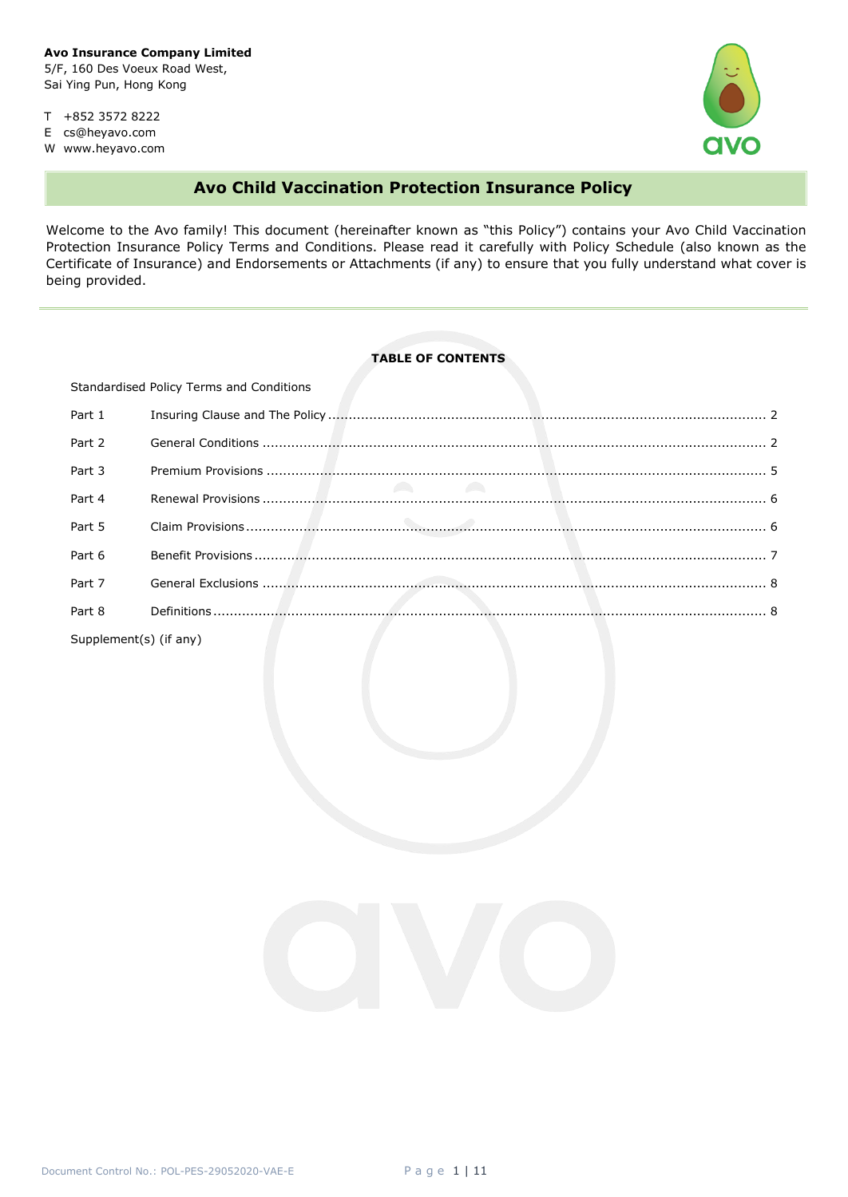Sai Ying Pun, Hong Kong

T +852 3572 8222

E cs@heyavo.com

W www.heyavo.com



# **Avo Child Vaccination Protection Insurance Policy**

Welcome to the Avo family! This document (hereinafter known as "this Policy") contains your Avo Child Vaccination Protection Insurance Policy Terms and Conditions. Please read it carefully with Policy Schedule (also known as the Certificate of Insurance) and Endorsements or Attachments (if any) to ensure that you fully understand what cover is being provided.

## **TABLE OF CONTENTS**

| Standardised Policy Terms and Conditions |  |  |  |  |
|------------------------------------------|--|--|--|--|
| Part 1                                   |  |  |  |  |
| Part 2                                   |  |  |  |  |
| Part 3                                   |  |  |  |  |
| Part 4                                   |  |  |  |  |
| Part 5                                   |  |  |  |  |
| Part 6                                   |  |  |  |  |
| Part 7                                   |  |  |  |  |
| Part 8                                   |  |  |  |  |
|                                          |  |  |  |  |

Supplement(s) (if any)

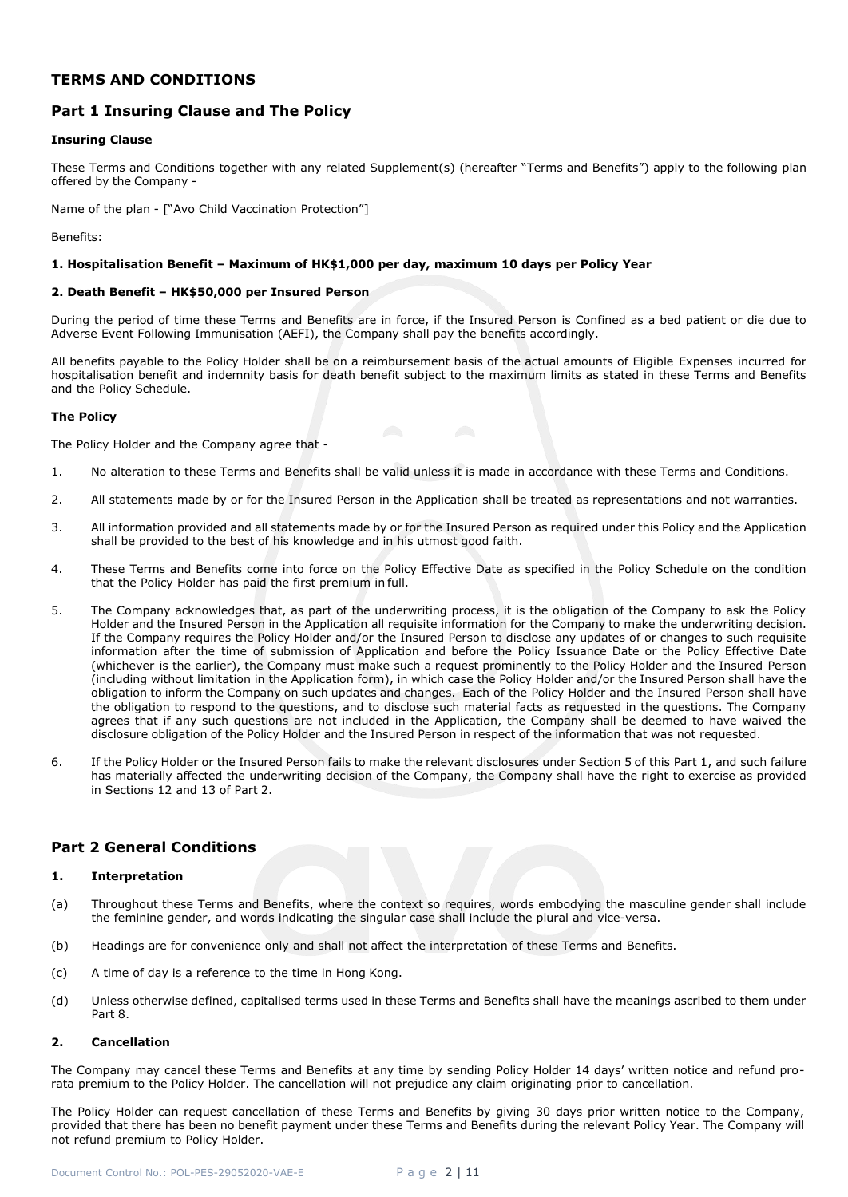## **TERMS AND CONDITIONS**

## <span id="page-1-0"></span>**Part 1 Insuring Clause and The Policy**

## **Insuring Clause**

These Terms and Conditions together with any related Supplement(s) (hereafter "Terms and Benefits") apply to the following plan offered by the Company -

Name of the plan - ["Avo Child Vaccination Protection"]

Benefits:

## **1. Hospitalisation Benefit – Maximum of HK\$1,000 per day, maximum 10 days per Policy Year**

## **2. Death Benefit – HK\$50,000 per Insured Person**

During the period of time these Terms and Benefits are in force, if the Insured Person is Confined as a bed patient or die due to Adverse Event Following Immunisation (AEFI), the Company shall pay the benefits accordingly.

All benefits payable to the Policy Holder shall be on a reimbursement basis of the actual amounts of Eligible Expenses incurred for hospitalisation benefit and indemnity basis for death benefit subject to the maximum limits as stated in these Terms and Benefits and the Policy Schedule.

## **The Policy**

The Policy Holder and the Company agree that -

- 1. No alteration to these Terms and Benefits shall be valid unless it is made in accordance with these Terms and Conditions.
- 2. All statements made by or for the Insured Person in the Application shall be treated as representations and not warranties.
- 3. All information provided and all statements made by or for the Insured Person as required under this Policy and the Application shall be provided to the best of his knowledge and in his utmost good faith.
- 4. These Terms and Benefits come into force on the Policy Effective Date as specified in the Policy Schedule on the condition that the Policy Holder has paid the first premium in full.
- 5. The Company acknowledges that, as part of the underwriting process, it is the obligation of the Company to ask the Policy Holder and the Insured Person in the Application all requisite information for the Company to make the underwriting decision. If the Company requires the Policy Holder and/or the Insured Person to disclose any updates of or changes to such requisite information after the time of submission of Application and before the Policy Issuance Date or the Policy Effective Date (whichever is the earlier), the Company must make such a request prominently to the Policy Holder and the Insured Person (including without limitation in the Application form), in which case the Policy Holder and/or the Insured Person shall have the obligation to inform the Company on such updates and changes. Each of the Policy Holder and the Insured Person shall have the obligation to respond to the questions, and to disclose such material facts as requested in the questions. The Company agrees that if any such questions are not included in the Application, the Company shall be deemed to have waived the disclosure obligation of the Policy Holder and the Insured Person in respect of the information that was not requested.
- 6. If the Policy Holder or the Insured Person fails to make the relevant disclosures under Section 5 of this Part 1, and such failure has materially affected the underwriting decision of the Company, the Company shall have the right to exercise as provided in Sections 12 and 13 of Part 2.

## <span id="page-1-1"></span>**Part 2 General Conditions**

## **1. Interpretation**

- (a) Throughout these Terms and Benefits, where the context so requires, words embodying the masculine gender shall include the feminine gender, and words indicating the singular case shall include the plural and vice-versa.
- (b) Headings are for convenience only and shall not affect the interpretation of these Terms and Benefits.
- (c) A time of day is a reference to the time in Hong Kong.
- (d) Unless otherwise defined, capitalised terms used in these Terms and Benefits shall have the meanings ascribed to them under Part 8.

## **2. Cancellation**

The Company may cancel these Terms and Benefits at any time by sending Policy Holder 14 days' written notice and refund prorata premium to the Policy Holder. The cancellation will not prejudice any claim originating prior to cancellation.

The Policy Holder can request cancellation of these Terms and Benefits by giving 30 days prior written notice to the Company, provided that there has been no benefit payment under these Terms and Benefits during the relevant Policy Year. The Company will not refund premium to Policy Holder.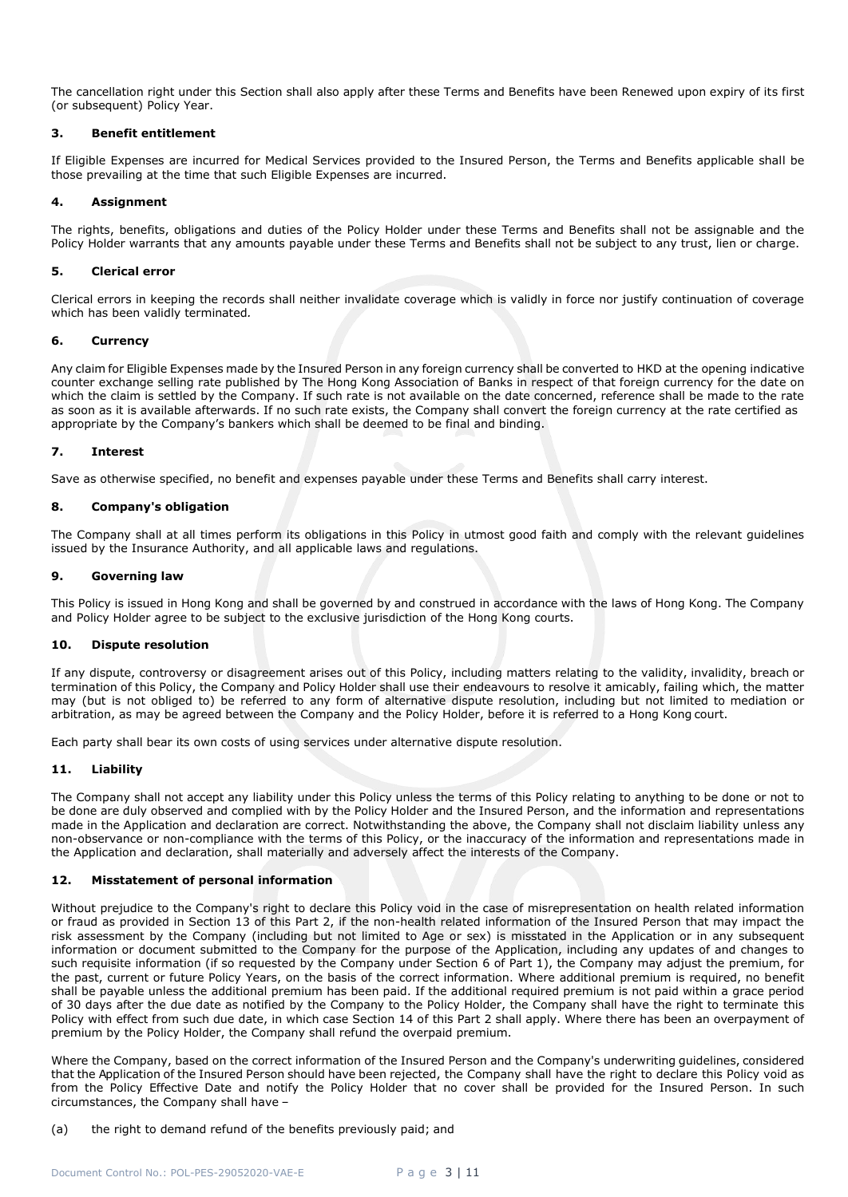The cancellation right under this Section shall also apply after these Terms and Benefits have been Renewed upon expiry of its first (or subsequent) Policy Year.

## **3. Benefit entitlement**

If Eligible Expenses are incurred for Medical Services provided to the Insured Person, the Terms and Benefits applicable shall be those prevailing at the time that such Eligible Expenses are incurred.

## **4. Assignment**

The rights, benefits, obligations and duties of the Policy Holder under these Terms and Benefits shall not be assignable and the Policy Holder warrants that any amounts payable under these Terms and Benefits shall not be subject to any trust, lien or charge.

## **5. Clerical error**

Clerical errors in keeping the records shall neither invalidate coverage which is validly in force nor justify continuation of coverage which has been validly terminated*.*

## **6. Currency**

Any claim for Eligible Expenses made by the Insured Person in any foreign currency shall be converted to HKD at the opening indicative counter exchange selling rate published by The Hong Kong Association of Banks in respect of that foreign currency for the date on which the claim is settled by the Company. If such rate is not available on the date concerned, reference shall be made to the rate as soon as it is available afterwards. If no such rate exists, the Company shall convert the foreign currency at the rate certified as appropriate by the Company's bankers which shall be deemed to be final and binding.

## **7. Interest**

Save as otherwise specified, no benefit and expenses payable under these Terms and Benefits shall carry interest.

## **8. Company's obligation**

The Company shall at all times perform its obligations in this Policy in utmost good faith and comply with the relevant guidelines issued by the Insurance Authority, and all applicable laws and regulations.

## **9. Governing law**

This Policy is issued in Hong Kong and shall be governed by and construed in accordance with the laws of Hong Kong. The Company and Policy Holder agree to be subject to the exclusive jurisdiction of the Hong Kong courts.

## **10. Dispute resolution**

If any dispute, controversy or disagreement arises out of this Policy, including matters relating to the validity, invalidity, breach or termination of this Policy, the Company and Policy Holder shall use their endeavours to resolve it amicably, failing which, the matter may (but is not obliged to) be referred to any form of alternative dispute resolution, including but not limited to mediation or arbitration, as may be agreed between the Company and the Policy Holder, before it is referred to a Hong Kong court.

Each party shall bear its own costs of using services under alternative dispute resolution.

## **11. Liability**

The Company shall not accept any liability under this Policy unless the terms of this Policy relating to anything to be done or not to be done are duly observed and complied with by the Policy Holder and the Insured Person, and the information and representations made in the Application and declaration are correct. Notwithstanding the above, the Company shall not disclaim liability unless any non-observance or non-compliance with the terms of this Policy, or the inaccuracy of the information and representations made in the Application and declaration, shall materially and adversely affect the interests of the Company.

## **12. Misstatement of personal information**

Without prejudice to the Company's right to declare this Policy void in the case of misrepresentation on health related information or fraud as provided in Section 13 of this Part 2, if the non-health related information of the Insured Person that may impact the risk assessment by the Company (including but not limited to Age or sex) is misstated in the Application or in any subsequent information or document submitted to the Company for the purpose of the Application, including any updates of and changes to such requisite information (if so requested by the Company under Section 6 of Part 1), the Company may adjust the premium, for the past, current or future Policy Years, on the basis of the correct information. Where additional premium is required, no benefit shall be payable unless the additional premium has been paid. If the additional required premium is not paid within a grace period of 30 days after the due date as notified by the Company to the Policy Holder, the Company shall have the right to terminate this Policy with effect from such due date, in which case Section 14 of this Part 2 shall apply. Where there has been an overpayment of premium by the Policy Holder, the Company shall refund the overpaid premium.

Where the Company, based on the correct information of the Insured Person and the Company's underwriting guidelines, considered that the Application of the Insured Person should have been rejected, the Company shall have the right to declare this Policy void as from the Policy Effective Date and notify the Policy Holder that no cover shall be provided for the Insured Person. In such circumstances, the Company shall have –

## (a) the right to demand refund of the benefits previously paid; and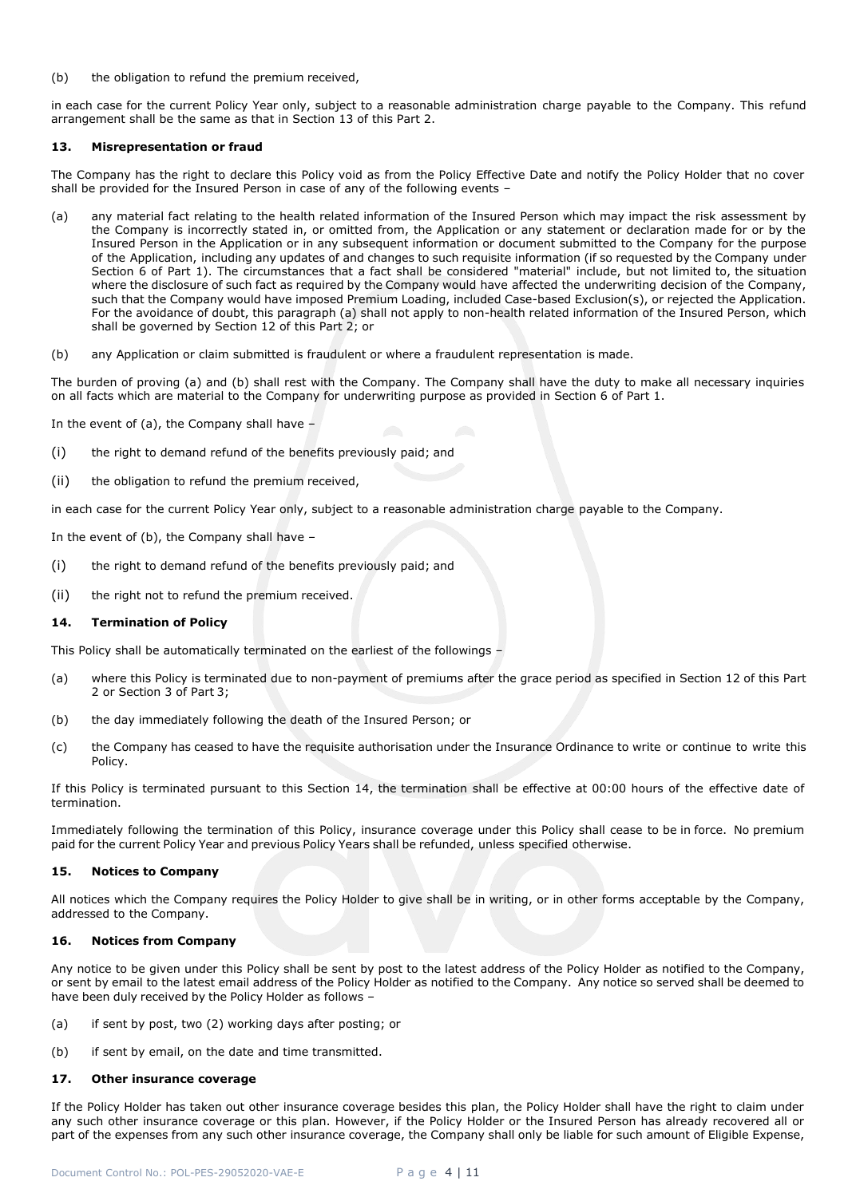(b) the obligation to refund the premium received,

in each case for the current Policy Year only, subject to a reasonable administration charge payable to the Company. This refund arrangement shall be the same as that in Section 13 of this Part 2.

## **13. Misrepresentation or fraud**

The Company has the right to declare this Policy void as from the Policy Effective Date and notify the Policy Holder that no cover shall be provided for the Insured Person in case of any of the following events –

- (a) any material fact relating to the health related information of the Insured Person which may impact the risk assessment by the Company is incorrectly stated in, or omitted from, the Application or any statement or declaration made for or by the Insured Person in the Application or in any subsequent information or document submitted to the Company for the purpose of the Application, including any updates of and changes to such requisite information (if so requested by the Company under Section 6 of Part 1). The circumstances that a fact shall be considered "material" include, but not limited to, the situation where the disclosure of such fact as required by the Company would have affected the underwriting decision of the Company, such that the Company would have imposed Premium Loading, included Case-based Exclusion(s), or rejected the Application. For the avoidance of doubt, this paragraph (a) shall not apply to non-health related information of the Insured Person, which shall be governed by Section 12 of this Part 2; or
- (b) any Application or claim submitted is fraudulent or where a fraudulent representation is made.

The burden of proving (a) and (b) shall rest with the Company. The Company shall have the duty to make all necessary inquiries on all facts which are material to the Company for underwriting purpose as provided in Section 6 of Part 1.

In the event of (a), the Company shall have  $-$ 

- (i) the right to demand refund of the benefits previously paid; and
- (ii) the obligation to refund the premium received,

in each case for the current Policy Year only, subject to a reasonable administration charge payable to the Company.

In the event of (b), the Company shall have –

- (i) the right to demand refund of the benefits previously paid; and
- (ii) the right not to refund the premium received.

#### **14. Termination of Policy**

This Policy shall be automatically terminated on the earliest of the followings –

- (a) where this Policy is terminated due to non-payment of premiums after the grace period as specified in Section 12 of this Part 2 or Section 3 of Part 3;
- (b) the day immediately following the death of the Insured Person; or
- (c) the Company has ceased to have the requisite authorisation under the Insurance Ordinance to write or continue to write this Policy.

If this Policy is terminated pursuant to this Section 14, the termination shall be effective at 00:00 hours of the effective date of termination.

Immediately following the termination of this Policy, insurance coverage under this Policy shall cease to be in force. No premium paid for the current Policy Year and previous Policy Years shall be refunded, unless specified otherwise.

#### **15. Notices to Company**

All notices which the Company requires the Policy Holder to give shall be in writing, or in other forms acceptable by the Company, addressed to the Company.

#### **16. Notices from Company**

Any notice to be given under this Policy shall be sent by post to the latest address of the Policy Holder as notified to the Company, or sent by email to the latest email address of the Policy Holder as notified to the Company. Any notice so served shall be deemed to have been duly received by the Policy Holder as follows –

- (a) if sent by post, two (2) working days after posting; or
- (b) if sent by email, on the date and time transmitted.

## **17. Other insurance coverage**

If the Policy Holder has taken out other insurance coverage besides this plan, the Policy Holder shall have the right to claim under any such other insurance coverage or this plan. However, if the Policy Holder or the Insured Person has already recovered all or part of the expenses from any such other insurance coverage, the Company shall only be liable for such amount of Eligible Expense,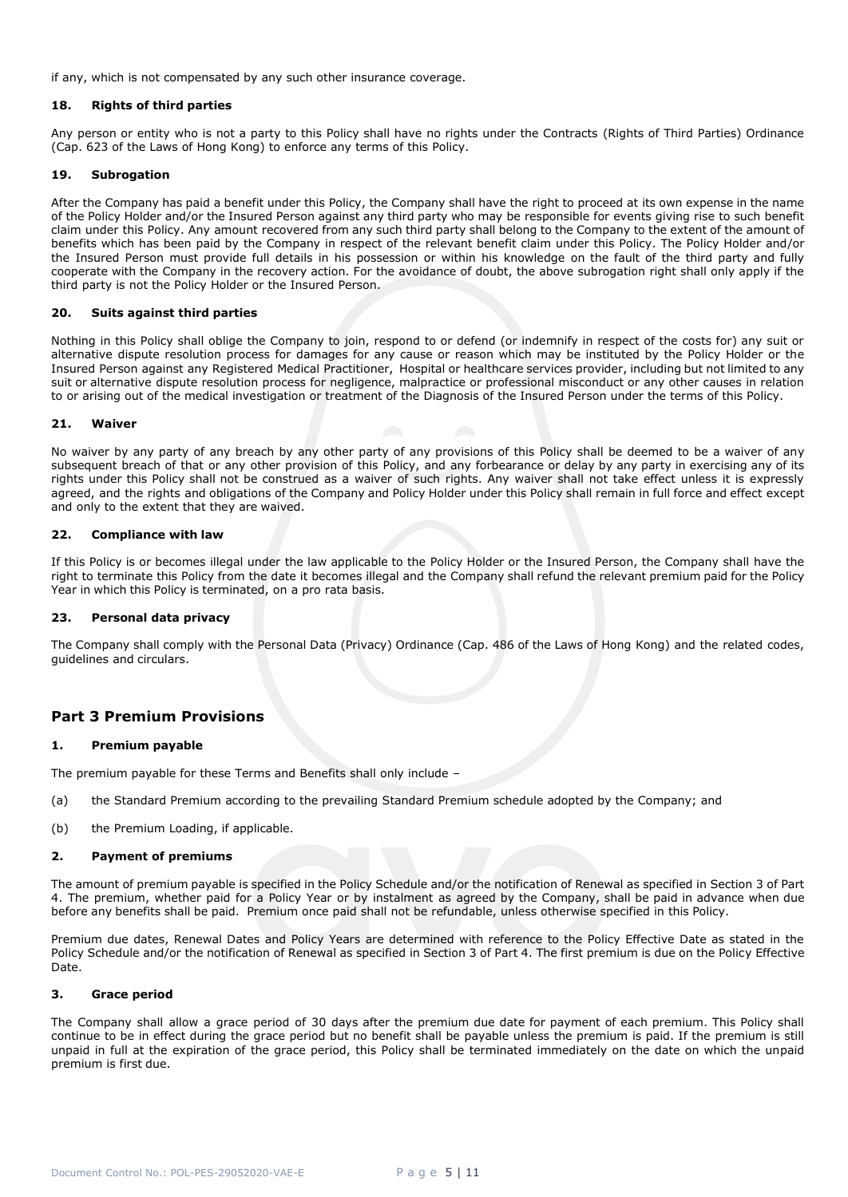if any, which is not compensated by any such other insurance coverage.

### **18. Rights of third parties**

Any person or entity who is not a party to this Policy shall have no rights under the Contracts (Rights of Third Parties) Ordinance (Cap. 623 of the Laws of Hong Kong) to enforce any terms of this Policy.

## <span id="page-4-0"></span>**19. Subrogation**

After the Company has paid a benefit under this Policy, the Company shall have the right to proceed at its own expense in the name of the Policy Holder and/or the Insured Person against any third party who may be responsible for events giving rise to such benefit claim under this Policy. Any amount recovered from any such third party shall belong to the Company to the extent of the amount of benefits which has been paid by the Company in respect of the relevant benefit claim under this Policy. The Policy Holder and/or the Insured Person must provide full details in his possession or within his knowledge on the fault of the third party and fully cooperate with the Company in the recovery action. For the avoidance of doubt, the above subrogation right shall only apply if the third party is not the Policy Holder or the Insured Person.

#### **20. Suits against third parties**

Nothing in this Policy shall oblige the Company to join, respond to or defend (or indemnify in respect of the costs for) any suit or alternative dispute resolution process for damages for any cause or reason which may be instituted by the Policy Holder or the Insured Person against any Registered Medical Practitioner, Hospital or healthcare services provider, including but not limited to any suit or alternative dispute resolution process for negligence, malpractice or professional misconduct or any other causes in relation to or arising out of the medical investigation or treatment of the Diagnosis of the Insured Person under the terms of this Policy.

#### **21. Waiver**

No waiver by any party of any breach by any other party of any provisions of this Policy shall be deemed to be a waiver of any subsequent breach of that or any other provision of this Policy, and any forbearance or delay by any party in exercising any of its rights under this Policy shall not be construed as a waiver of such rights. Any waiver shall not take effect unless it is expressly agreed, and the rights and obligations of the Company and Policy Holder under this Policy shall remain in full force and effect except and only to the extent that they are waived.

#### **22. Compliance with law**

If this Policy is or becomes illegal under the law applicable to the Policy Holder or the Insured Person, the Company shall have the right to terminate this Policy from the date it becomes illegal and the Company shall refund the relevant premium paid for the Policy Year in which this Policy is terminated, on a pro rata basis.

## **23. Personal data privacy**

The Company shall comply with the Personal Data (Privacy) Ordinance (Cap. 486 of the Laws of Hong Kong) and the related codes, guidelines and circulars.

## **Part 3 Premium Provisions**

#### **1. Premium payable**

The premium payable for these Terms and Benefits shall only include –

- (a) the Standard Premium according to the prevailing Standard Premium schedule adopted by the Company; and
- (b) the Premium Loading, if applicable.

#### **2. Payment of premiums**

The amount of premium payable is specified in the Policy Schedule and/or the notification of Renewal as specified in Section 3 of Part 4. The premium, whether paid for a Policy Year or by instalment as agreed by the Company, shall be paid in advance when due before any benefits shall be paid. Premium once paid shall not be refundable, unless otherwise specified in this Policy.

Premium due dates, Renewal Dates and Policy Years are determined with reference to the Policy Effective Date as stated in the Policy Schedule and/or the notification of Renewal as specified in Section 3 of Part 4. The first premium is due on the Policy Effective Date.

## **3. Grace period**

The Company shall allow a grace period of 30 days after the premium due date for payment of each premium. This Policy shall continue to be in effect during the grace period but no benefit shall be payable unless the premium is paid. If the premium is still unpaid in full at the expiration of the grace period, this Policy shall be terminated immediately on the date on which the unpaid premium is first due.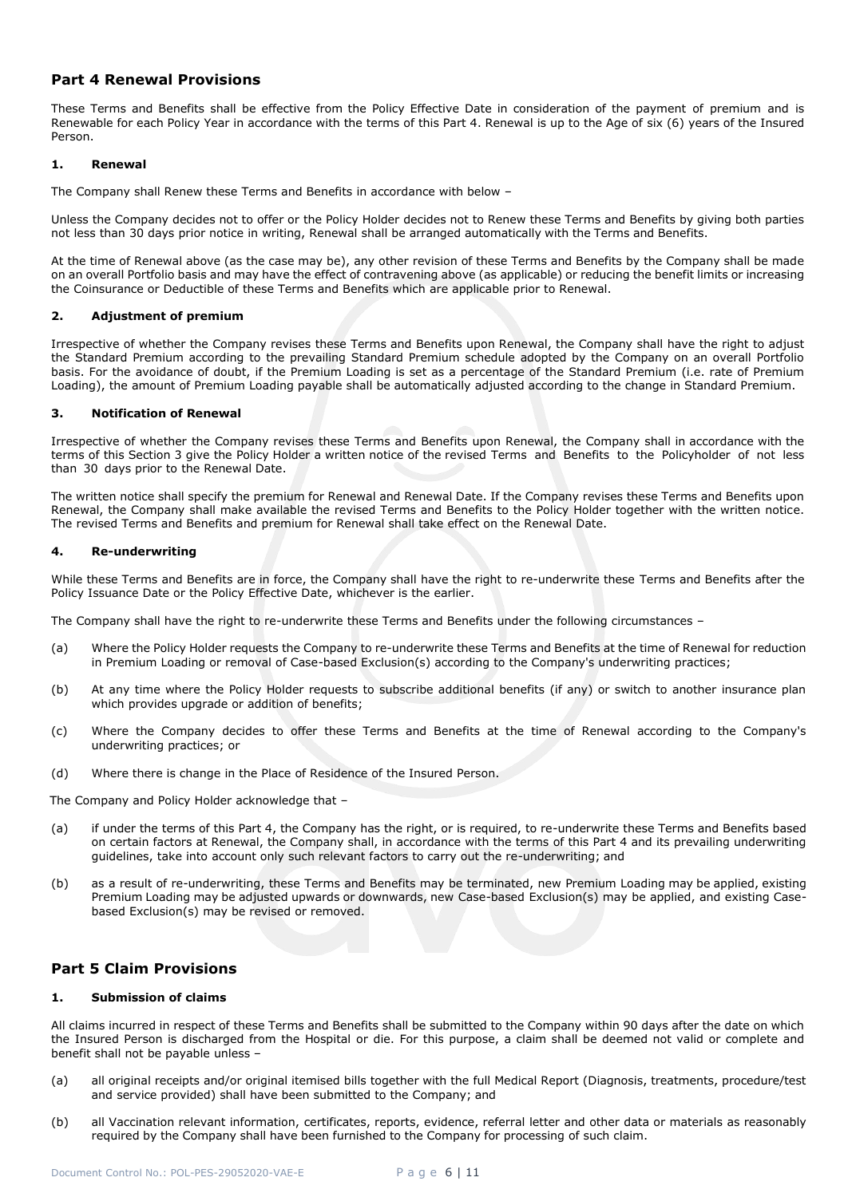## <span id="page-5-0"></span>**Part 4 Renewal Provisions**

These Terms and Benefits shall be effective from the Policy Effective Date in consideration of the payment of premium and is Renewable for each Policy Year in accordance with the terms of this Part 4. Renewal is up to the Age of six (6) years of the Insured Person.

## **1. Renewal**

The Company shall Renew these Terms and Benefits in accordance with below –

Unless the Company decides not to offer or the Policy Holder decides not to Renew these Terms and Benefits by giving both parties not less than 30 days prior notice in writing, Renewal shall be arranged automatically with the Terms and Benefits.

At the time of Renewal above (as the case may be), any other revision of these Terms and Benefits by the Company shall be made on an overall Portfolio basis and may have the effect of contravening above (as applicable) or reducing the benefit limits or increasing the Coinsurance or Deductible of these Terms and Benefits which are applicable prior to Renewal.

## **2. Adjustment of premium**

Irrespective of whether the Company revises these Terms and Benefits upon Renewal, the Company shall have the right to adjust the Standard Premium according to the prevailing Standard Premium schedule adopted by the Company on an overall Portfolio basis. For the avoidance of doubt, if the Premium Loading is set as a percentage of the Standard Premium (i.e. rate of Premium Loading), the amount of Premium Loading payable shall be automatically adjusted according to the change in Standard Premium.

#### **3. Notification of Renewal**

Irrespective of whether the Company revises these Terms and Benefits upon Renewal, the Company shall in accordance with the terms of this Section 3 give the Policy Holder a written notice of the revised Terms and Benefits to the Policyholder of not less than 30 days prior to the Renewal Date.

The written notice shall specify the premium for Renewal and Renewal Date. If the Company revises these Terms and Benefits upon Renewal, the Company shall make available the revised Terms and Benefits to the Policy Holder together with the written notice. The revised Terms and Benefits and premium for Renewal shall take effect on the Renewal Date.

## **4. Re-underwriting**

While these Terms and Benefits are in force, the Company shall have the right to re-underwrite these Terms and Benefits after the Policy Issuance Date or the Policy Effective Date, whichever is the earlier.

The Company shall have the right to re-underwrite these Terms and Benefits under the following circumstances –

- (a) Where the Policy Holder requests the Company to re-underwrite these Terms and Benefits at the time of Renewal for reduction in Premium Loading or removal of Case-based Exclusion(s) according to the Company's underwriting practices;
- (b) At any time where the Policy Holder requests to subscribe additional benefits (if any) or switch to another insurance plan which provides upgrade or addition of benefits;
- (c) Where the Company decides to offer these Terms and Benefits at the time of Renewal according to the Company's underwriting practices; or
- (d) Where there is change in the Place of Residence of the Insured Person.

The Company and Policy Holder acknowledge that –

- (a) if under the terms of this Part 4, the Company has the right, or is required, to re-underwrite these Terms and Benefits based on certain factors at Renewal, the Company shall, in accordance with the terms of this Part 4 and its prevailing underwriting guidelines, take into account only such relevant factors to carry out the re-underwriting; and
- (b) as a result of re-underwriting, these Terms and Benefits may be terminated, new Premium Loading may be applied, existing Premium Loading may be adjusted upwards or downwards, new Case-based Exclusion(s) may be applied, and existing Casebased Exclusion(s) may be revised or removed.

## <span id="page-5-1"></span>**Part 5 Claim Provisions**

## **1. Submission of claims**

All claims incurred in respect of these Terms and Benefits shall be submitted to the Company within 90 days after the date on which the Insured Person is discharged from the Hospital or die. For this purpose, a claim shall be deemed not valid or complete and benefit shall not be payable unless –

- (a) all original receipts and/or original itemised bills together with the full Medical Report (Diagnosis, treatments, procedure/test and service provided) shall have been submitted to the Company; and
- (b) all Vaccination relevant information, certificates, reports, evidence, referral letter and other data or materials as reasonably required by the Company shall have been furnished to the Company for processing of such claim.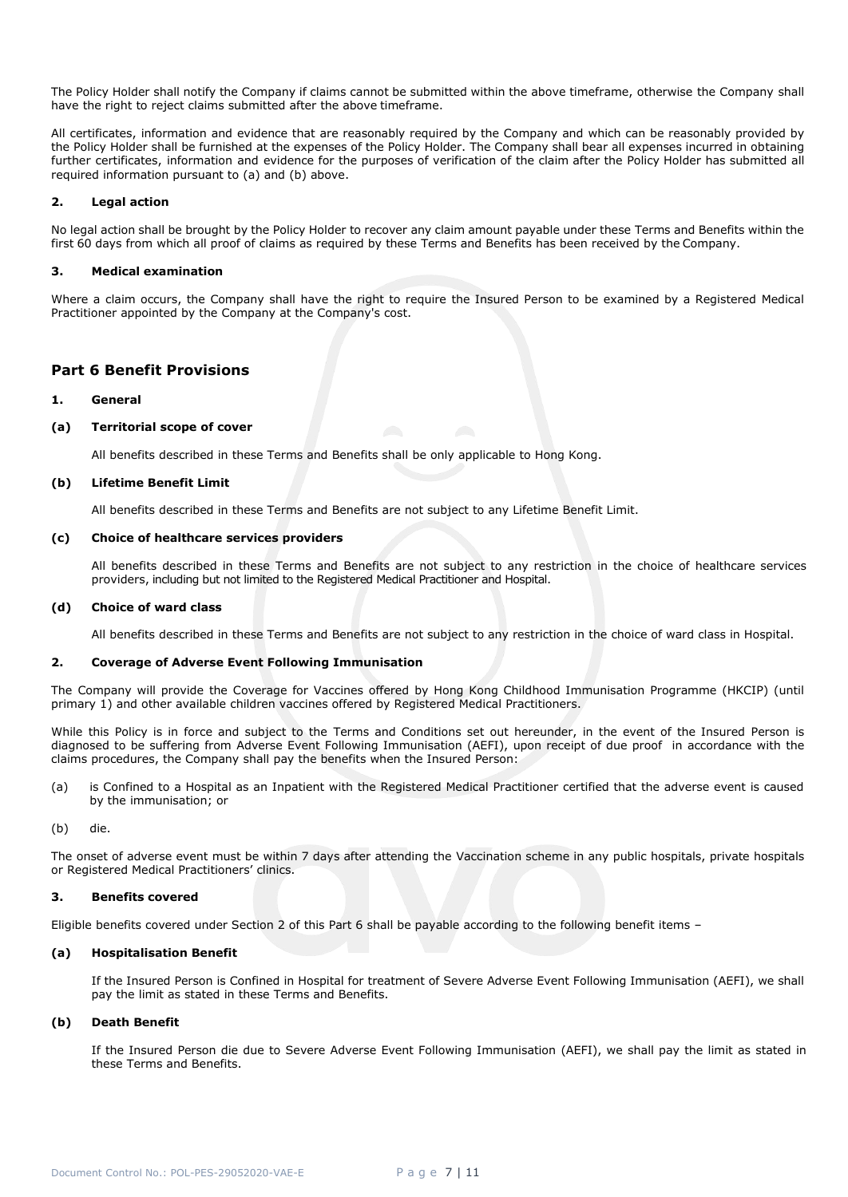The Policy Holder shall notify the Company if claims cannot be submitted within the above timeframe, otherwise the Company shall have the right to reject claims submitted after the above timeframe.

All certificates, information and evidence that are reasonably required by the Company and which can be reasonably provided by the Policy Holder shall be furnished at the expenses of the Policy Holder. The Company shall bear all expenses incurred in obtaining further certificates, information and evidence for the purposes of verification of the claim after the Policy Holder has submitted all required information pursuant to (a) and (b) above.

## **2. Legal action**

No legal action shall be brought by the Policy Holder to recover any claim amount payable under these Terms and Benefits within the first 60 days from which all proof of claims as required by these Terms and Benefits has been received by the Company.

### **3. Medical examination**

Where a claim occurs, the Company shall have the right to require the Insured Person to be examined by a Registered Medical Practitioner appointed by the Company at the Company's cost.

## <span id="page-6-0"></span>**Part 6 Benefit Provisions**

## **1. General**

#### **(a) Territorial scope of cover**

All benefits described in these Terms and Benefits shall be only applicable to Hong Kong.

#### **(b) Lifetime Benefit Limit**

All benefits described in these Terms and Benefits are not subject to any Lifetime Benefit Limit.

#### **(c) Choice of healthcare services providers**

All benefits described in these Terms and Benefits are not subject to any restriction in the choice of healthcare services providers, including but not limited to the Registered Medical Practitioner and Hospital.

#### **(d) Choice of ward class**

All benefits described in these Terms and Benefits are not subject to any restriction in the choice of ward class in Hospital.

#### **2. Coverage of Adverse Event Following Immunisation**

The Company will provide the Coverage for Vaccines offered by Hong Kong Childhood Immunisation Programme (HKCIP) (until primary 1) and other available children vaccines offered by Registered Medical Practitioners.

While this Policy is in force and subject to the Terms and Conditions set out hereunder, in the event of the Insured Person is diagnosed to be suffering from Adverse Event Following Immunisation (AEFI), upon receipt of due proof in accordance with the claims procedures, the Company shall pay the benefits when the Insured Person:

(a) is Confined to a Hospital as an Inpatient with the Registered Medical Practitioner certified that the adverse event is caused by the immunisation; or

(b) die.

The onset of adverse event must be within 7 days after attending the Vaccination scheme in any public hospitals, private hospitals or Registered Medical Practitioners' clinics.

## **3. Benefits covered**

Eligible benefits covered under Section 2 of this Part 6 shall be payable according to the following benefit items –

## **(a) Hospitalisation Benefit**

If the Insured Person is Confined in Hospital for treatment of Severe Adverse Event Following Immunisation (AEFI), we shall pay the limit as stated in these Terms and Benefits.

## **(b) Death Benefit**

<span id="page-6-1"></span>If the Insured Person die due to Severe Adverse Event Following Immunisation (AEFI), we shall pay the limit as stated in these Terms and Benefits.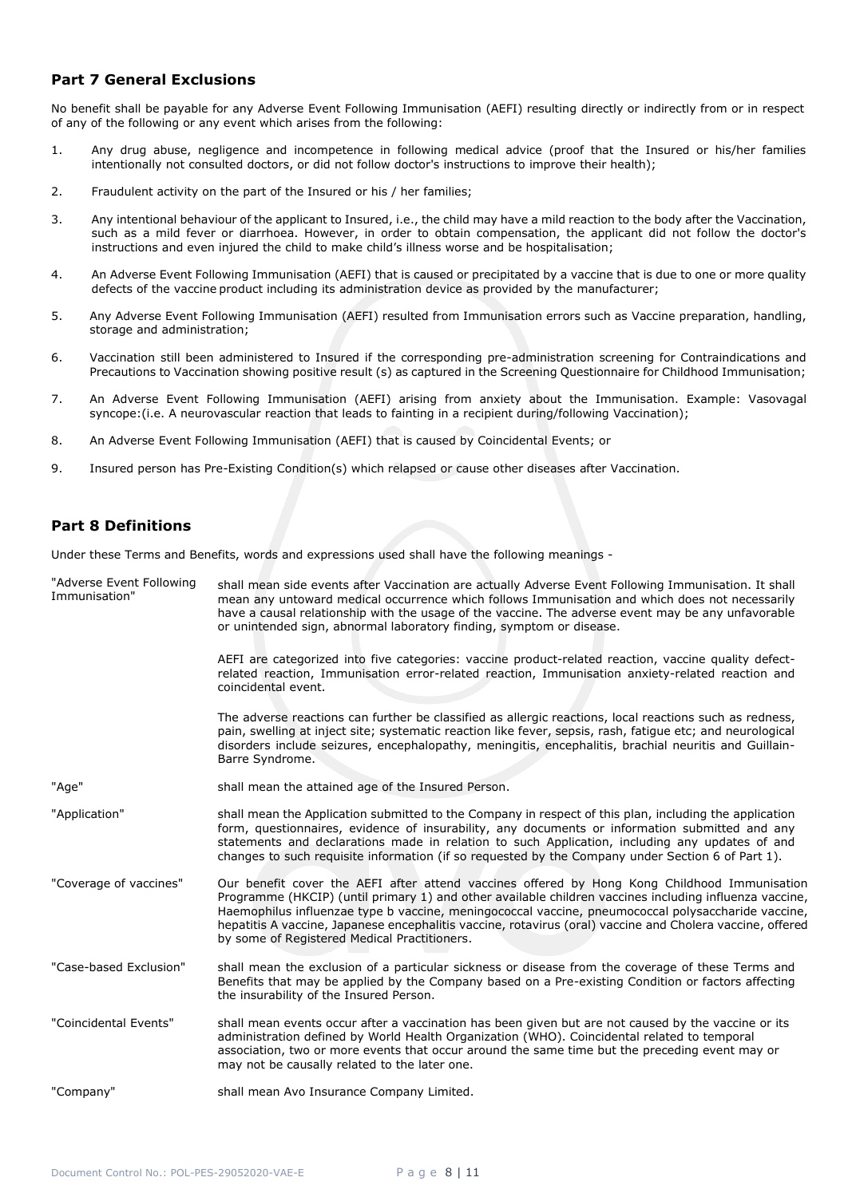## **Part 7 General Exclusions**

No benefit shall be payable for any Adverse Event Following Immunisation (AEFI) resulting directly or indirectly from or in respect of any of the following or any event which arises from the following:

- 1. Any drug abuse, negligence and incompetence in following medical advice (proof that the Insured or his/her families intentionally not consulted doctors, or did not follow doctor's instructions to improve their health);
- 2. Fraudulent activity on the part of the Insured or his / her families;
- 3. Any intentional behaviour of the applicant to Insured, i.e., the child may have a mild reaction to the body after the Vaccination, such as a mild fever or diarrhoea. However, in order to obtain compensation, the applicant did not follow the doctor's instructions and even injured the child to make child's illness worse and be hospitalisation;
- 4. An Adverse Event Following Immunisation (AEFI) that is caused or precipitated by a vaccine that is due to one or more quality defects of the vaccine product including its administration device as provided by the manufacturer;
- 5. Any Adverse Event Following Immunisation (AEFI) resulted from Immunisation errors such as Vaccine preparation, handling, storage and administration;
- 6. Vaccination still been administered to Insured if the corresponding pre-administration screening for Contraindications and Precautions to Vaccination showing positive result (s) as captured in the Screening Questionnaire for Childhood Immunisation;
- 7. An Adverse Event Following Immunisation (AEFI) arising from anxiety about the Immunisation. Example: Vasovagal syncope:(i.e. A neurovascular reaction that leads to fainting in a recipient during/following Vaccination);
- 8. An Adverse Event Following Immunisation (AEFI) that is caused by Coincidental Events; or
- 9. Insured person has Pre-Existing Condition(s) which relapsed or cause other diseases after Vaccination.

## <span id="page-7-0"></span>**Part 8 Definitions**

Under these Terms and Benefits, words and expressions used shall have the following meanings -

| "Adverse Event Following<br>Immunisation" | shall mean side events after Vaccination are actually Adverse Event Following Immunisation. It shall<br>mean any untoward medical occurrence which follows Immunisation and which does not necessarily<br>have a causal relationship with the usage of the vaccine. The adverse event may be any unfavorable<br>or unintended sign, abnormal laboratory finding, symptom or disease.                                                                                      |
|-------------------------------------------|---------------------------------------------------------------------------------------------------------------------------------------------------------------------------------------------------------------------------------------------------------------------------------------------------------------------------------------------------------------------------------------------------------------------------------------------------------------------------|
|                                           | AEFI are categorized into five categories: vaccine product-related reaction, vaccine quality defect-<br>related reaction, Immunisation error-related reaction, Immunisation anxiety-related reaction and<br>coincidental event.                                                                                                                                                                                                                                           |
|                                           | The adverse reactions can further be classified as allergic reactions, local reactions such as redness,<br>pain, swelling at inject site; systematic reaction like fever, sepsis, rash, fatigue etc; and neurological<br>disorders include seizures, encephalopathy, meningitis, encephalitis, brachial neuritis and Guillain-<br>Barre Syndrome.                                                                                                                         |
| "Age"                                     | shall mean the attained age of the Insured Person.                                                                                                                                                                                                                                                                                                                                                                                                                        |
| "Application"                             | shall mean the Application submitted to the Company in respect of this plan, including the application<br>form, questionnaires, evidence of insurability, any documents or information submitted and any<br>statements and declarations made in relation to such Application, including any updates of and<br>changes to such requisite information (if so requested by the Company under Section 6 of Part 1).                                                           |
| "Coverage of vaccines"                    | Our benefit cover the AEFI after attend vaccines offered by Hong Kong Childhood Immunisation<br>Programme (HKCIP) (until primary 1) and other available children vaccines including influenza vaccine,<br>Haemophilus influenzae type b vaccine, meningococcal vaccine, pneumococcal polysaccharide vaccine,<br>hepatitis A vaccine, Japanese encephalitis vaccine, rotavirus (oral) vaccine and Cholera vaccine, offered<br>by some of Registered Medical Practitioners. |
| "Case-based Exclusion"                    | shall mean the exclusion of a particular sickness or disease from the coverage of these Terms and<br>Benefits that may be applied by the Company based on a Pre-existing Condition or factors affecting<br>the insurability of the Insured Person.                                                                                                                                                                                                                        |
| "Coincidental Events"                     | shall mean events occur after a vaccination has been given but are not caused by the vaccine or its<br>administration defined by World Health Organization (WHO). Coincidental related to temporal<br>association, two or more events that occur around the same time but the preceding event may or<br>may not be causally related to the later one.                                                                                                                     |
| "Company"                                 | shall mean Avo Insurance Company Limited.                                                                                                                                                                                                                                                                                                                                                                                                                                 |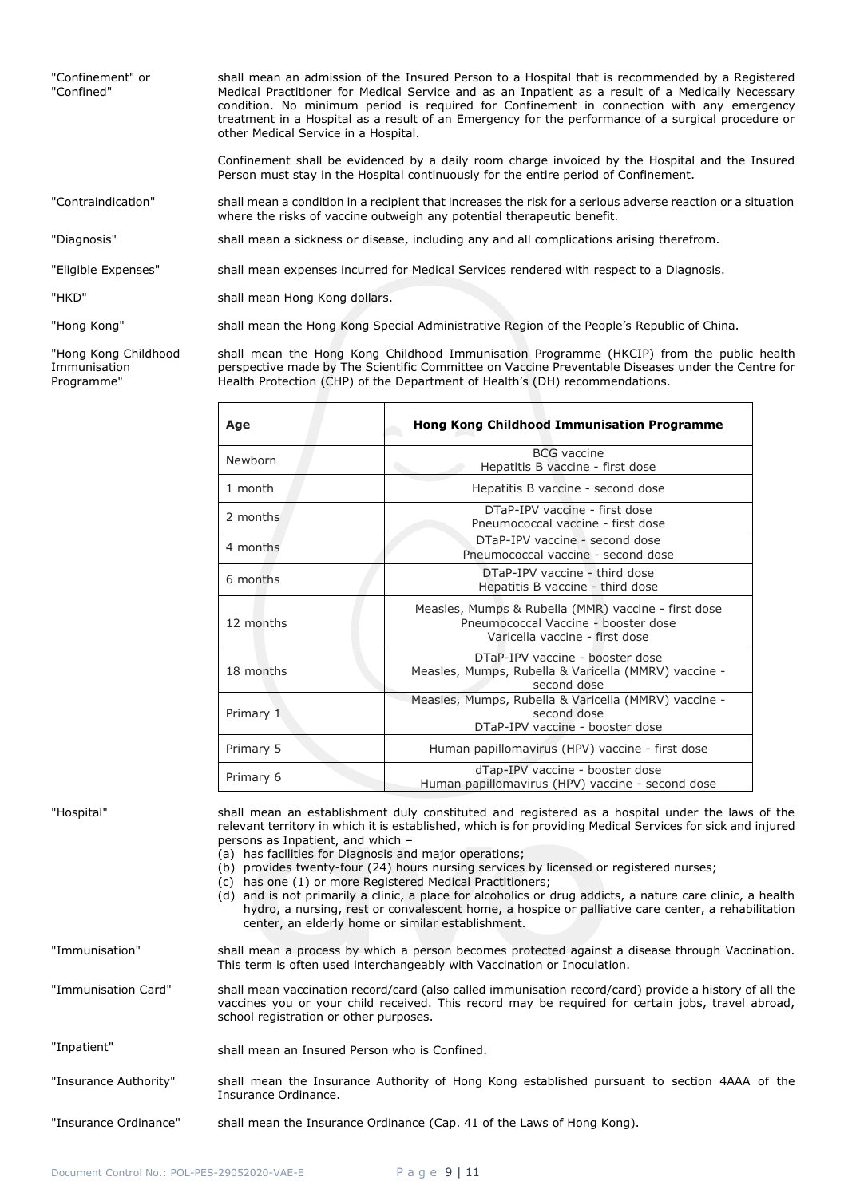| "Confinement" or<br>"Confined" | shall mean an admission of the Insured Person to a Hospital that is recommended by a Registered<br>Medical Practitioner for Medical Service and as an Inpatient as a result of a Medically Necessary<br>condition. No minimum period is required for Confinement in connection with any emergency<br>treatment in a Hospital as a result of an Emergency for the performance of a surgical procedure or<br>other Medical Service in a Hospital. |
|--------------------------------|-------------------------------------------------------------------------------------------------------------------------------------------------------------------------------------------------------------------------------------------------------------------------------------------------------------------------------------------------------------------------------------------------------------------------------------------------|
|                                | Confinement shall be evidenced by a daily room charge invoiced by the Hospital and the Insured<br>Person must stay in the Hospital continuously for the entire period of Confinement.                                                                                                                                                                                                                                                           |
| "Contraindication"             | shall mean a condition in a recipient that increases the risk for a serious adverse reaction or a situation<br>where the risks of vaccine outweigh any potential therapeutic benefit.                                                                                                                                                                                                                                                           |
| "Diagnosis"                    | shall mean a sickness or disease, including any and all complications arising therefrom.                                                                                                                                                                                                                                                                                                                                                        |
| "Eligible Expenses"            | shall mean expenses incurred for Medical Services rendered with respect to a Diagnosis.                                                                                                                                                                                                                                                                                                                                                         |
| "HKD"                          | shall mean Hong Kong dollars.                                                                                                                                                                                                                                                                                                                                                                                                                   |
| "Hong Kong"                    | shall mean the Hong Kong Special Administrative Region of the People's Republic of China.                                                                                                                                                                                                                                                                                                                                                       |

"Hong Kong Childhood Immunisation Programme"

shall mean the Hong Kong Childhood Immunisation Programme (HKCIP) from the public health perspective made by The Scientific Committee on Vaccine Preventable Diseases under the Centre for Health Protection (CHP) of the Department of Health's (DH) recommendations.

| Age       | <b>Hong Kong Childhood Immunisation Programme</b>                                                                            |
|-----------|------------------------------------------------------------------------------------------------------------------------------|
| Newborn   | <b>BCG</b> vaccine<br>Hepatitis B vaccine - first dose                                                                       |
| 1 month   | Hepatitis B vaccine - second dose                                                                                            |
| 2 months  | DTaP-IPV vaccine - first dose<br>Pneumococcal vaccine - first dose                                                           |
| 4 months  | DTaP-IPV vaccine - second dose<br>Pneumococcal vaccine - second dose                                                         |
| 6 months  | DTaP-IPV vaccine - third dose<br>Hepatitis B vaccine - third dose                                                            |
| 12 months | Measles, Mumps & Rubella (MMR) vaccine - first dose<br>Pneumococcal Vaccine - booster dose<br>Varicella vaccine - first dose |
| 18 months | DTaP-IPV vaccine - booster dose<br>Measles, Mumps, Rubella & Varicella (MMRV) vaccine -<br>second dose                       |
| Primary 1 | Measles, Mumps, Rubella & Varicella (MMRV) vaccine -<br>second dose<br>DTaP-IPV vaccine - booster dose                       |
| Primary 5 | Human papillomavirus (HPV) vaccine - first dose                                                                              |
| Primary 6 | dTap-IPV vaccine - booster dose<br>Human papillomavirus (HPV) vaccine - second dose                                          |

"Hospital" shall mean an establishment duly constituted and registered as a hospital under the laws of the relevant territory in which it is established, which is for providing Medical Services for sick and injured persons as Inpatient, and which – (a) has facilities for Diagnosis and major operations; (b) provides twenty-four (24) hours nursing services by licensed or registered nurses; (c) has one (1) or more Registered Medical Practitioners; (d) and is not primarily a clinic, a place for alcoholics or drug addicts, a nature care clinic, a health hydro, a nursing, rest or convalescent home, a hospice or palliative care center, a rehabilitation center, an elderly home or similar establishment. "Immunisation" shall mean a process by which a person becomes protected against a disease through Vaccination. This term is often used interchangeably with Vaccination or Inoculation. "Immunisation Card" shall mean vaccination record/card (also called immunisation record/card) provide a history of all the vaccines you or your child received. This record may be required for certain jobs, travel abroad, school registration or other purposes. "Inpatient" (a) shall mean an Insured Person who is Confined. "Insurance Authority" shall mean the Insurance Authority of Hong Kong established pursuant to section 4AAA of the Insurance Ordinance. "Insurance Ordinance" shall mean the Insurance Ordinance (Cap. 41 of the Laws of Hong Kong).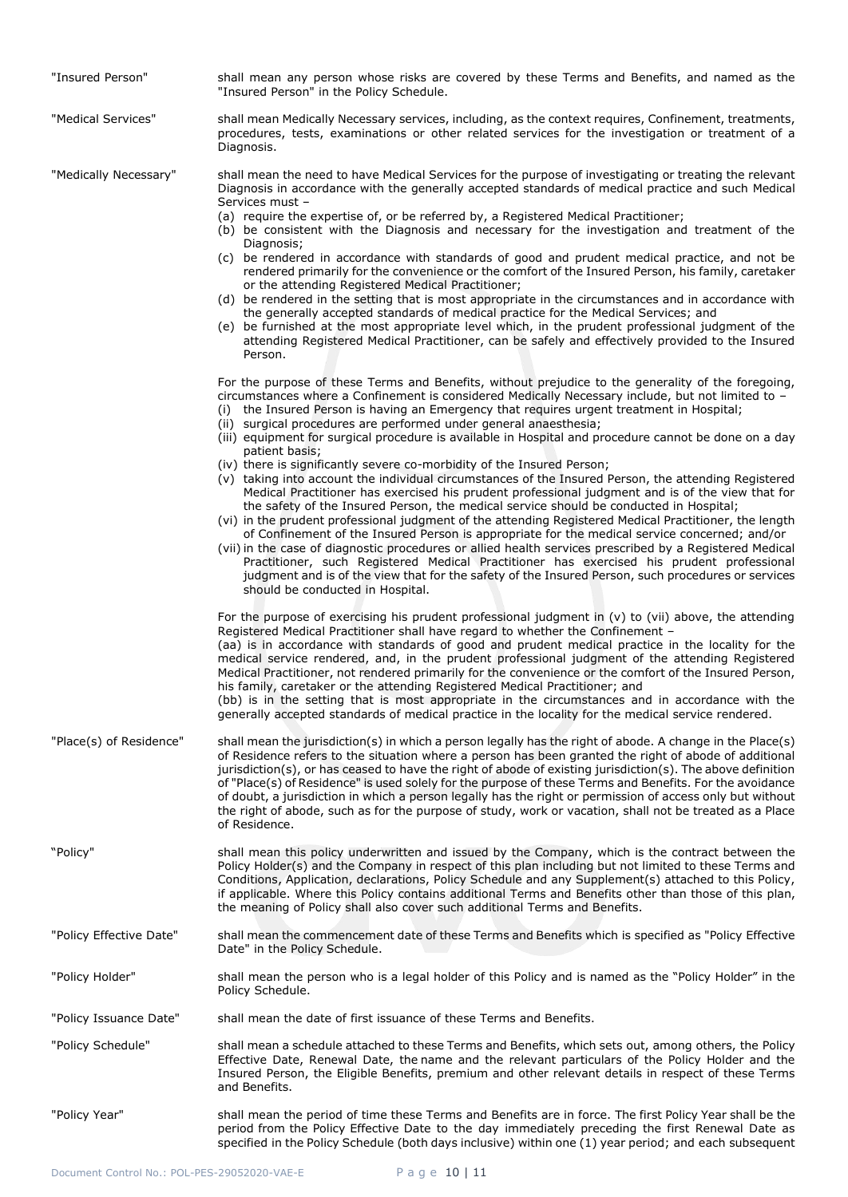| "Insured Person"        | shall mean any person whose risks are covered by these Terms and Benefits, and named as the<br>"Insured Person" in the Policy Schedule.                                                                                                                                                                                                                                                                                                                                                                                                                                                                                                                                                                                                                                                                                                                                                                                                                     |
|-------------------------|-------------------------------------------------------------------------------------------------------------------------------------------------------------------------------------------------------------------------------------------------------------------------------------------------------------------------------------------------------------------------------------------------------------------------------------------------------------------------------------------------------------------------------------------------------------------------------------------------------------------------------------------------------------------------------------------------------------------------------------------------------------------------------------------------------------------------------------------------------------------------------------------------------------------------------------------------------------|
| "Medical Services"      | shall mean Medically Necessary services, including, as the context requires, Confinement, treatments,<br>procedures, tests, examinations or other related services for the investigation or treatment of a<br>Diagnosis.                                                                                                                                                                                                                                                                                                                                                                                                                                                                                                                                                                                                                                                                                                                                    |
| "Medically Necessary"   | shall mean the need to have Medical Services for the purpose of investigating or treating the relevant<br>Diagnosis in accordance with the generally accepted standards of medical practice and such Medical<br>Services must -                                                                                                                                                                                                                                                                                                                                                                                                                                                                                                                                                                                                                                                                                                                             |
|                         | (a) require the expertise of, or be referred by, a Registered Medical Practitioner;<br>(b) be consistent with the Diagnosis and necessary for the investigation and treatment of the<br>Diagnosis;                                                                                                                                                                                                                                                                                                                                                                                                                                                                                                                                                                                                                                                                                                                                                          |
|                         | (c) be rendered in accordance with standards of good and prudent medical practice, and not be<br>rendered primarily for the convenience or the comfort of the Insured Person, his family, caretaker<br>or the attending Registered Medical Practitioner;                                                                                                                                                                                                                                                                                                                                                                                                                                                                                                                                                                                                                                                                                                    |
|                         | (d) be rendered in the setting that is most appropriate in the circumstances and in accordance with<br>the generally accepted standards of medical practice for the Medical Services; and<br>(e) be furnished at the most appropriate level which, in the prudent professional judgment of the<br>attending Registered Medical Practitioner, can be safely and effectively provided to the Insured<br>Person.                                                                                                                                                                                                                                                                                                                                                                                                                                                                                                                                               |
|                         | For the purpose of these Terms and Benefits, without prejudice to the generality of the foregoing,<br>circumstances where a Confinement is considered Medically Necessary include, but not limited to -<br>(i) the Insured Person is having an Emergency that requires urgent treatment in Hospital;<br>(ii) surgical procedures are performed under general anaesthesia;<br>(iii) equipment for surgical procedure is available in Hospital and procedure cannot be done on a day                                                                                                                                                                                                                                                                                                                                                                                                                                                                          |
|                         | patient basis;<br>(iv) there is significantly severe co-morbidity of the Insured Person;<br>(v) taking into account the individual circumstances of the Insured Person, the attending Registered<br>Medical Practitioner has exercised his prudent professional judgment and is of the view that for<br>the safety of the Insured Person, the medical service should be conducted in Hospital;<br>(vi) in the prudent professional judgment of the attending Registered Medical Practitioner, the length<br>of Confinement of the Insured Person is appropriate for the medical service concerned; and/or<br>(vii) in the case of diagnostic procedures or allied health services prescribed by a Registered Medical<br>Practitioner, such Registered Medical Practitioner has exercised his prudent professional<br>judgment and is of the view that for the safety of the Insured Person, such procedures or services<br>should be conducted in Hospital. |
|                         | For the purpose of exercising his prudent professional judgment in $(v)$ to $(vii)$ above, the attending<br>Registered Medical Practitioner shall have regard to whether the Confinement -<br>(aa) is in accordance with standards of good and prudent medical practice in the locality for the<br>medical service rendered, and, in the prudent professional judgment of the attending Registered<br>Medical Practitioner, not rendered primarily for the convenience or the comfort of the Insured Person,<br>his family, caretaker or the attending Registered Medical Practitioner; and<br>(bb) is in the setting that is most appropriate in the circumstances and in accordance with the<br>generally accepted standards of medical practice in the locality for the medical service rendered.                                                                                                                                                        |
| "Place(s) of Residence" | shall mean the jurisdiction(s) in which a person legally has the right of abode. A change in the Place(s)<br>of Residence refers to the situation where a person has been granted the right of abode of additional<br>jurisdiction(s), or has ceased to have the right of abode of existing jurisdiction(s). The above definition<br>of "Place(s) of Residence" is used solely for the purpose of these Terms and Benefits. For the avoidance<br>of doubt, a jurisdiction in which a person legally has the right or permission of access only but without<br>the right of abode, such as for the purpose of study, work or vacation, shall not be treated as a Place<br>of Residence.                                                                                                                                                                                                                                                                      |
| "Policy"                | shall mean this policy underwritten and issued by the Company, which is the contract between the<br>Policy Holder(s) and the Company in respect of this plan including but not limited to these Terms and<br>Conditions, Application, declarations, Policy Schedule and any Supplement(s) attached to this Policy,<br>if applicable. Where this Policy contains additional Terms and Benefits other than those of this plan,<br>the meaning of Policy shall also cover such additional Terms and Benefits.                                                                                                                                                                                                                                                                                                                                                                                                                                                  |
| "Policy Effective Date" | shall mean the commencement date of these Terms and Benefits which is specified as "Policy Effective<br>Date" in the Policy Schedule.                                                                                                                                                                                                                                                                                                                                                                                                                                                                                                                                                                                                                                                                                                                                                                                                                       |
| "Policy Holder"         | shall mean the person who is a legal holder of this Policy and is named as the "Policy Holder" in the<br>Policy Schedule.                                                                                                                                                                                                                                                                                                                                                                                                                                                                                                                                                                                                                                                                                                                                                                                                                                   |
| "Policy Issuance Date"  | shall mean the date of first issuance of these Terms and Benefits.                                                                                                                                                                                                                                                                                                                                                                                                                                                                                                                                                                                                                                                                                                                                                                                                                                                                                          |
| "Policy Schedule"       | shall mean a schedule attached to these Terms and Benefits, which sets out, among others, the Policy<br>Effective Date, Renewal Date, the name and the relevant particulars of the Policy Holder and the<br>Insured Person, the Eligible Benefits, premium and other relevant details in respect of these Terms<br>and Benefits.                                                                                                                                                                                                                                                                                                                                                                                                                                                                                                                                                                                                                            |
| "Policy Year"           | shall mean the period of time these Terms and Benefits are in force. The first Policy Year shall be the<br>period from the Policy Effective Date to the day immediately preceding the first Renewal Date as<br>specified in the Policy Schedule (both days inclusive) within one (1) year period; and each subsequent                                                                                                                                                                                                                                                                                                                                                                                                                                                                                                                                                                                                                                       |